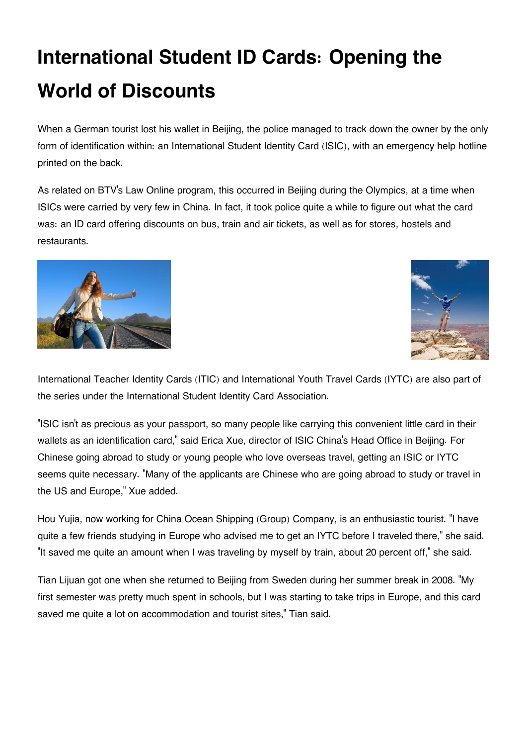## **International Student ID Cards: Opening the World of Discounts**

When a German tourist lost his wallet in Beijing, the police managed to track down the owner by the only form of identification within: an International Student Identity Card (ISIC), with an emergency help hotline printed on the back.

As related on BTV's Law Online program, this occurred in Beijing during the Olympics, at a time when ISICs were carried by very few in China. In fact, it took police quite a while to figure out what the card was: an ID card offering discounts on bus, train and air tickets, as well as for stores, hostels and restaurants.





International Teacher Identity Cards (ITIC) and International Youth Travel Cards (IYTC) are also part of the series under the International Student Identity Card Association.

"ISIC isn't as precious as your passport, so many people like carrying this convenient little card in their wallets as an identification card," said Erica Xue, director of ISIC China's Head Office in Beijing. For Chinese going abroad to study or young people who love overseas travel, getting an ISIC or IYTC seems quite necessary. "Many of the applicants are Chinese who are going abroad to study or travel in the US and Europe," Xue added.

Hou Yujia, now working for China Ocean Shipping (Group) Company, is an enthusiastic tourist. "I have quite a few friends studying in Europe who advised me to get an IYTC before I traveled there," she said. "It saved me quite an amount when I was traveling by myself by train, about 20 percent off," she said.

Tian Lijuan got one when she returned to Beijing from Sweden during her summer break in 2008. "My first semester was pretty much spent in schools, but I was starting to take trips in Europe, and this card saved me quite a lot on accommodation and tourist sites," Tian said.